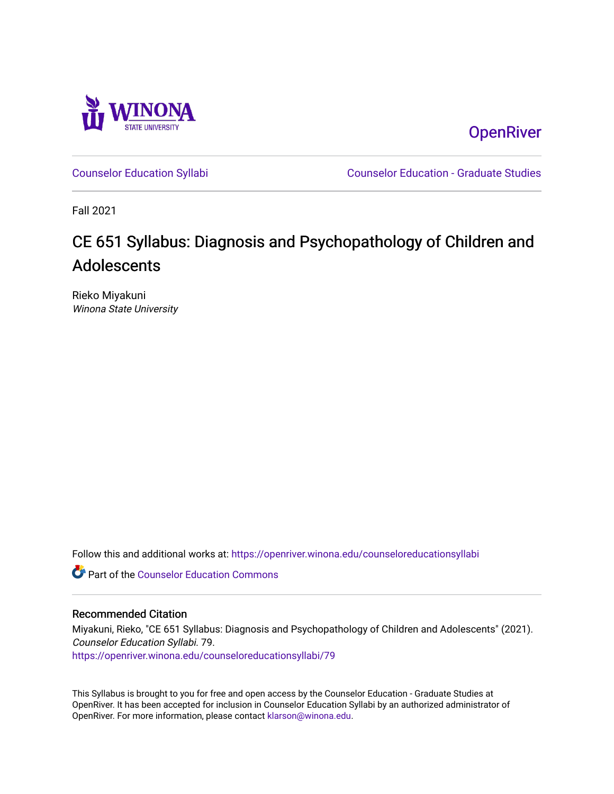

**OpenRiver** 

[Counselor Education Syllabi](https://openriver.winona.edu/counseloreducationsyllabi) [Counselor Education - Graduate Studies](https://openriver.winona.edu/counseloreducation) 

Fall 2021

# CE 651 Syllabus: Diagnosis and Psychopathology of Children and Adolescents

Rieko Miyakuni Winona State University

Follow this and additional works at: [https://openriver.winona.edu/counseloreducationsyllabi](https://openriver.winona.edu/counseloreducationsyllabi?utm_source=openriver.winona.edu%2Fcounseloreducationsyllabi%2F79&utm_medium=PDF&utm_campaign=PDFCoverPages)

Part of the [Counselor Education Commons](http://network.bepress.com/hgg/discipline/1278?utm_source=openriver.winona.edu%2Fcounseloreducationsyllabi%2F79&utm_medium=PDF&utm_campaign=PDFCoverPages) 

#### Recommended Citation

Miyakuni, Rieko, "CE 651 Syllabus: Diagnosis and Psychopathology of Children and Adolescents" (2021). Counselor Education Syllabi. 79. [https://openriver.winona.edu/counseloreducationsyllabi/79](https://openriver.winona.edu/counseloreducationsyllabi/79?utm_source=openriver.winona.edu%2Fcounseloreducationsyllabi%2F79&utm_medium=PDF&utm_campaign=PDFCoverPages) 

This Syllabus is brought to you for free and open access by the Counselor Education - Graduate Studies at OpenRiver. It has been accepted for inclusion in Counselor Education Syllabi by an authorized administrator of OpenRiver. For more information, please contact [klarson@winona.edu](mailto:klarson@winona.edu).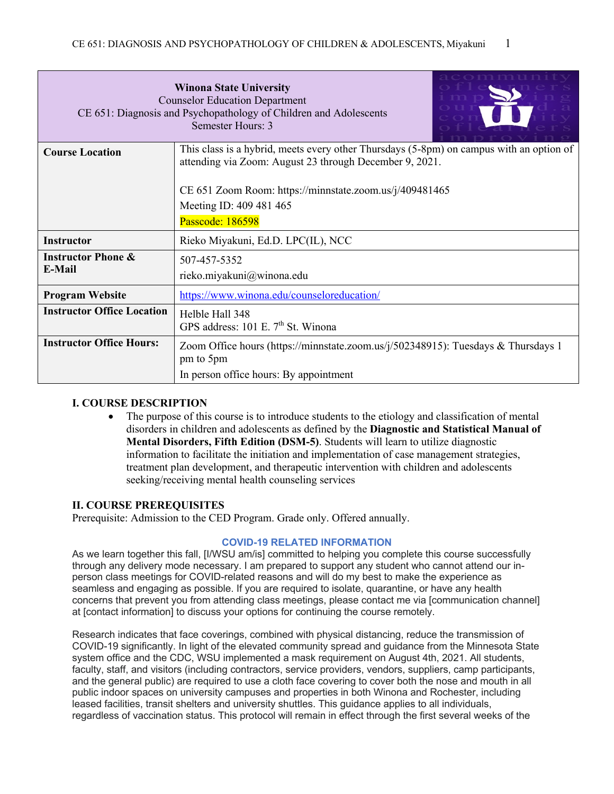|                                                                                                                                                                              | <b>Winona State University</b><br><b>Counselor Education Department</b><br>CE 651: Diagnosis and Psychopathology of Children and Adolescents<br>Semester Hours: 3 |  |  |  |  |
|------------------------------------------------------------------------------------------------------------------------------------------------------------------------------|-------------------------------------------------------------------------------------------------------------------------------------------------------------------|--|--|--|--|
| This class is a hybrid, meets every other Thursdays (5-8pm) on campus with an option of<br><b>Course Location</b><br>attending via Zoom: August 23 through December 9, 2021. |                                                                                                                                                                   |  |  |  |  |
|                                                                                                                                                                              |                                                                                                                                                                   |  |  |  |  |
|                                                                                                                                                                              | CE 651 Zoom Room: https://minnstate.zoom.us/j/409481465                                                                                                           |  |  |  |  |
|                                                                                                                                                                              | Meeting ID: 409 481 465                                                                                                                                           |  |  |  |  |
|                                                                                                                                                                              | Passcode: 186598                                                                                                                                                  |  |  |  |  |
| <b>Instructor</b>                                                                                                                                                            | Rieko Miyakuni, Ed.D. LPC(IL), NCC                                                                                                                                |  |  |  |  |
| <b>Instructor Phone &amp;</b>                                                                                                                                                | 507-457-5352                                                                                                                                                      |  |  |  |  |
| E-Mail                                                                                                                                                                       | rieko.miyakuni@winona.edu                                                                                                                                         |  |  |  |  |
| <b>Program Website</b>                                                                                                                                                       | https://www.winona.edu/counseloreducation/                                                                                                                        |  |  |  |  |
| <b>Instructor Office Location</b>                                                                                                                                            | Helble Hall 348                                                                                                                                                   |  |  |  |  |
|                                                                                                                                                                              | GPS address: 101 E. 7 <sup>th</sup> St. Winona                                                                                                                    |  |  |  |  |
| <b>Instructor Office Hours:</b>                                                                                                                                              | Zoom Office hours (https://minnstate.zoom.us/j/502348915): Tuesdays & Thursdays 1                                                                                 |  |  |  |  |
|                                                                                                                                                                              | pm to 5pm                                                                                                                                                         |  |  |  |  |
|                                                                                                                                                                              | In person office hours: By appointment                                                                                                                            |  |  |  |  |

#### **I. COURSE DESCRIPTION**

• The purpose of this course is to introduce students to the etiology and classification of mental disorders in children and adolescents as defined by the **Diagnostic and Statistical Manual of Mental Disorders, Fifth Edition (DSM-5)**. Students will learn to utilize diagnostic information to facilitate the initiation and implementation of case management strategies, treatment plan development, and therapeutic intervention with children and adolescents seeking/receiving mental health counseling services

#### **II. COURSE PREREQUISITES**

Prerequisite: Admission to the CED Program. Grade only. Offered annually.

#### **COVID-19 RELATED INFORMATION**

As we learn together this fall, [I/WSU am/is] committed to helping you complete this course successfully through any delivery mode necessary. I am prepared to support any student who cannot attend our inperson class meetings for COVID-related reasons and will do my best to make the experience as seamless and engaging as possible. If you are required to isolate, quarantine, or have any health concerns that prevent you from attending class meetings, please contact me via [communication channel] at [contact information] to discuss your options for continuing the course remotely.

Research indicates that face coverings, combined with physical distancing, reduce the transmission of COVID-19 significantly. In light of the elevated community spread and guidance from the Minnesota State system office and the CDC, WSU implemented a mask requirement on August 4th, 2021. All students, faculty, staff, and visitors (including contractors, service providers, vendors, suppliers, camp participants, and the general public) are required to use a cloth face covering to cover both the nose and mouth in all public indoor spaces on university campuses and properties in both Winona and Rochester, including leased facilities, transit shelters and university shuttles. This guidance applies to all individuals, regardless of vaccination status. This protocol will remain in effect through the first several weeks of the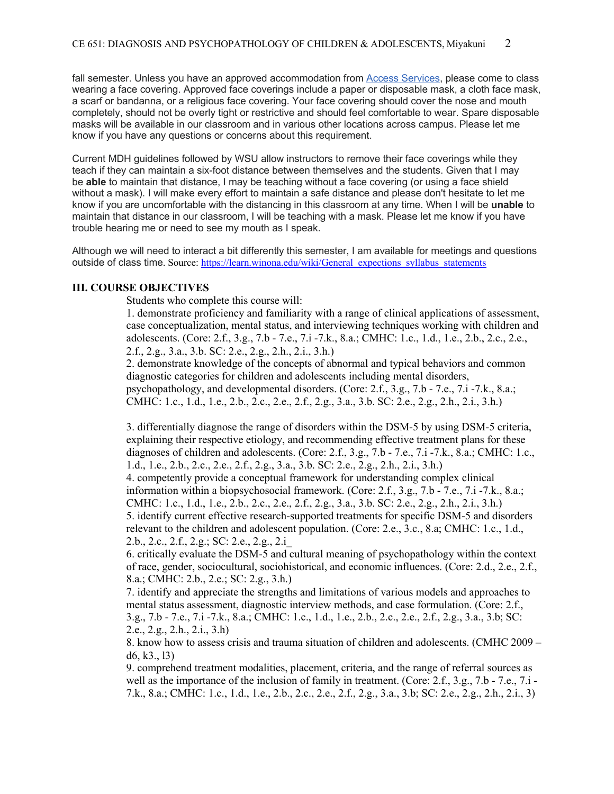fall semester. Unless you have an approved accommodation from **Access Services**, please come to class wearing a face covering. Approved face coverings include a paper or disposable mask, a cloth face mask, a scarf or bandanna, or a religious face covering. Your face covering should cover the nose and mouth completely, should not be overly tight or restrictive and should feel comfortable to wear. Spare disposable masks will be available in our classroom and in various other locations across campus. Please let me know if you have any questions or concerns about this requirement.

Current MDH guidelines followed by WSU allow instructors to remove their face coverings while they teach if they can maintain a six-foot distance between themselves and the students. Given that I may be **able** to maintain that distance, I may be teaching without a face covering (or using a face shield without a mask). I will make every effort to maintain a safe distance and please don't hesitate to let me know if you are uncomfortable with the distancing in this classroom at any time. When I will be **unable** to maintain that distance in our classroom, I will be teaching with a mask. Please let me know if you have trouble hearing me or need to see my mouth as I speak.

Although we will need to interact a bit differently this semester, I am available for meetings and questions outside of class time. Source: https://learn.winona.edu/wiki/General\_expections\_syllabus\_statements

#### **III. COURSE OBJECTIVES**

Students who complete this course will:

1. demonstrate proficiency and familiarity with a range of clinical applications of assessment, case conceptualization, mental status, and interviewing techniques working with children and adolescents. (Core: 2.f., 3.g., 7.b - 7.e., 7.i -7.k., 8.a.; CMHC: 1.c., 1.d., 1.e., 2.b., 2.c., 2.e., 2.f., 2.g., 3.a., 3.b. SC: 2.e., 2.g., 2.h., 2.i., 3.h.)

2. demonstrate knowledge of the concepts of abnormal and typical behaviors and common diagnostic categories for children and adolescents including mental disorders, psychopathology, and developmental disorders. (Core: 2.f., 3.g., 7.b - 7.e., 7.i -7.k., 8.a.; CMHC: 1.c., 1.d., 1.e., 2.b., 2.c., 2.e., 2.f., 2.g., 3.a., 3.b. SC: 2.e., 2.g., 2.h., 2.i., 3.h.)

3. differentially diagnose the range of disorders within the DSM-5 by using DSM-5 criteria, explaining their respective etiology, and recommending effective treatment plans for these diagnoses of children and adolescents. (Core: 2.f., 3.g., 7.b - 7.e., 7.i -7.k., 8.a.; CMHC: 1.c., 1.d., 1.e., 2.b., 2.c., 2.e., 2.f., 2.g., 3.a., 3.b. SC: 2.e., 2.g., 2.h., 2.i., 3.h.) 4. competently provide a conceptual framework for understanding complex clinical information within a biopsychosocial framework. (Core: 2.f., 3.g., 7.b - 7.e., 7.i -7.k., 8.a.; CMHC: 1.c., 1.d., 1.e., 2.b., 2.c., 2.e., 2.f., 2.g., 3.a., 3.b. SC: 2.e., 2.g., 2.h., 2.i., 3.h.) 5. identify current effective research-supported treatments for specific DSM-5 and disorders relevant to the children and adolescent population. (Core: 2.e., 3.c., 8.a; CMHC: 1.c., 1.d., 2.b., 2.c., 2.f., 2.g.; SC: 2.e., 2.g., 2.i\_

6. critically evaluate the DSM-5 and cultural meaning of psychopathology within the context of race, gender, sociocultural, sociohistorical, and economic influences. (Core: 2.d., 2.e., 2.f., 8.a.; CMHC: 2.b., 2.e.; SC: 2.g., 3.h.)

7. identify and appreciate the strengths and limitations of various models and approaches to mental status assessment, diagnostic interview methods, and case formulation. (Core: 2.f., 3.g., 7.b - 7.e., 7.i -7.k., 8.a.; CMHC: 1.c., 1.d., 1.e., 2.b., 2.c., 2.e., 2.f., 2.g., 3.a., 3.b; SC: 2.e., 2.g., 2.h., 2.i., 3.h)

8. know how to assess crisis and trauma situation of children and adolescents. (CMHC 2009 – d6, k3., l3)

9. comprehend treatment modalities, placement, criteria, and the range of referral sources as well as the importance of the inclusion of family in treatment. (Core: 2.f., 3.g., 7.b - 7.e., 7.i -7.k., 8.a.; CMHC: 1.c., 1.d., 1.e., 2.b., 2.c., 2.e., 2.f., 2.g., 3.a., 3.b; SC: 2.e., 2.g., 2.h., 2.i., 3)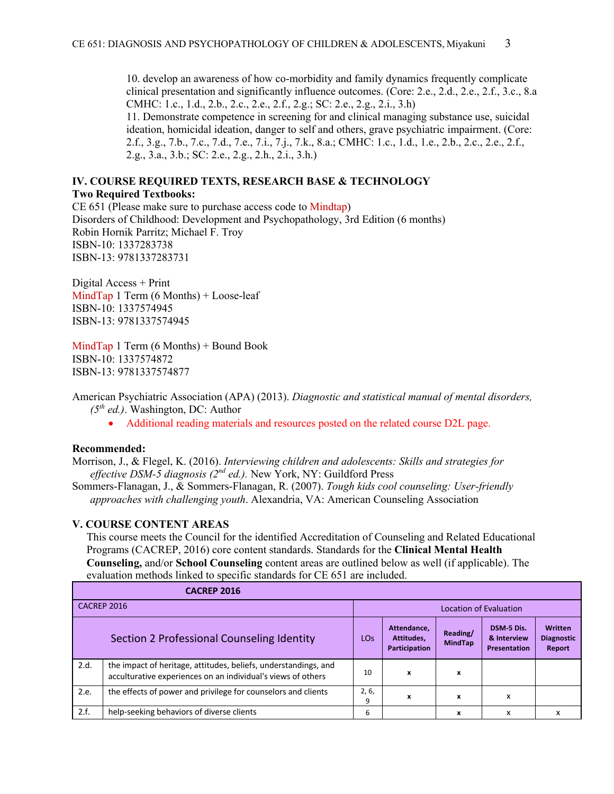10. develop an awareness of how co-morbidity and family dynamics frequently complicate clinical presentation and significantly influence outcomes. (Core: 2.e., 2.d., 2.e., 2.f., 3.c., 8.a CMHC: 1.c., 1.d., 2.b., 2.c., 2.e., 2.f., 2.g.; SC: 2.e., 2.g., 2.i., 3.h)

11. Demonstrate competence in screening for and clinical managing substance use, suicidal ideation, homicidal ideation, danger to self and others, grave psychiatric impairment. (Core: 2.f., 3.g., 7.b., 7.c., 7.d., 7.e., 7.i., 7.j., 7.k., 8.a.; CMHC: 1.c., 1.d., 1.e., 2.b., 2.c., 2.e., 2.f., 2.g., 3.a., 3.b.; SC: 2.e., 2.g., 2.h., 2.i., 3.h.)

#### **IV. COURSE REQUIRED TEXTS, RESEARCH BASE & TECHNOLOGY**

#### **Two Required Textbooks:**

CE 651 (Please make sure to purchase access code to Mindtap) Disorders of Childhood: Development and Psychopathology, 3rd Edition (6 months) Robin Hornik Parritz; Michael F. Troy ISBN-10: 1337283738 ISBN-13: 9781337283731

Digital Access + Print MindTap 1 Term  $(6$  Months) + Loose-leaf ISBN-10: 1337574945 ISBN-13: 9781337574945

MindTap 1 Term (6 Months) + Bound Book ISBN-10: 1337574872 ISBN-13: 9781337574877

American Psychiatric Association (APA) (2013). *Diagnostic and statistical manual of mental disorders, (5th ed.)*. Washington, DC: Author

• Additional reading materials and resources posted on the related course D2L page.

#### **Recommended:**

Morrison, J., & Flegel, K. (2016). *Interviewing children and adolescents: Skills and strategies for effective DSM-5 diagnosis (2nd ed.).* New York, NY: Guildford Press

Sommers-Flanagan, J., & Sommers-Flanagan, R. (2007). *Tough kids cool counseling: User-friendly approaches with challenging youth*. Alexandria, VA: American Counseling Association

### **V. COURSE CONTENT AREAS**

This course meets the Council for the identified Accreditation of Counseling and Related Educational Programs (CACREP, 2016) core content standards. Standards for the **Clinical Mental Health Counseling,** and/or **School Counseling** content areas are outlined below as well (if applicable). The evaluation methods linked to specific standards for CE 651 are included.

|                                            | <b>CACREP 2016</b>                                                                                                              |            |                                            |                            |                                           |                                               |  |
|--------------------------------------------|---------------------------------------------------------------------------------------------------------------------------------|------------|--------------------------------------------|----------------------------|-------------------------------------------|-----------------------------------------------|--|
| CACREP 2016                                |                                                                                                                                 |            | Location of Evaluation                     |                            |                                           |                                               |  |
| Section 2 Professional Counseling Identity |                                                                                                                                 |            | Attendance,<br>Attitudes.<br>Participation | Reading/<br><b>MindTap</b> | DSM-5 Dis.<br>& Interview<br>Presentation | <b>Written</b><br><b>Diagnostic</b><br>Report |  |
| 2.d.                                       | the impact of heritage, attitudes, beliefs, understandings, and<br>acculturative experiences on an individual's views of others | 10         | x                                          | x                          |                                           |                                               |  |
| 2.e.                                       | the effects of power and privilege for counselors and clients                                                                   | 2, 6,<br>9 | x                                          | x                          | x                                         |                                               |  |
| 2.f.                                       | help-seeking behaviors of diverse clients                                                                                       | 6          |                                            | x                          | x                                         | x                                             |  |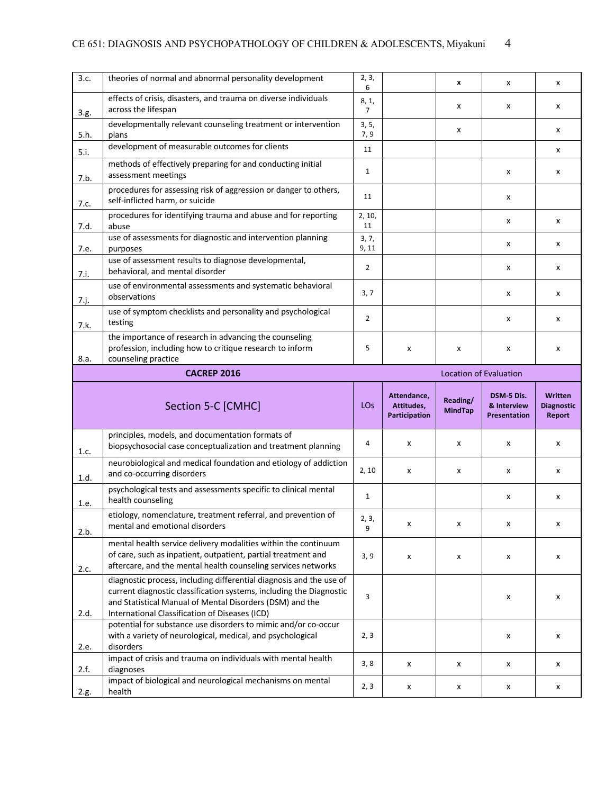### CE 651: DIAGNOSIS AND PSYCHOPATHOLOGY OF CHILDREN & ADOLESCENTS, Miyakuni 4

| 3.c.         | theories of normal and abnormal personality development                                                                                                                                                | 2, 3,<br>6              |                                            | x                          | x                                         | x                                      |
|--------------|--------------------------------------------------------------------------------------------------------------------------------------------------------------------------------------------------------|-------------------------|--------------------------------------------|----------------------------|-------------------------------------------|----------------------------------------|
| 3.g.         | effects of crisis, disasters, and trauma on diverse individuals<br>across the lifespan                                                                                                                 | 8, 1,<br>$\overline{7}$ |                                            | x                          | x                                         | x                                      |
| 5.h.         | developmentally relevant counseling treatment or intervention<br>plans                                                                                                                                 | 3, 5,<br>7,9            |                                            | x                          |                                           | x                                      |
| 5.i.         | development of measurable outcomes for clients                                                                                                                                                         | 11                      |                                            |                            |                                           | x                                      |
| 7.b.         | methods of effectively preparing for and conducting initial<br>assessment meetings                                                                                                                     | $\mathbf{1}$            |                                            |                            | x                                         | x                                      |
| 7.c.         | procedures for assessing risk of aggression or danger to others,<br>self-inflicted harm, or suicide                                                                                                    | 11                      |                                            |                            | x                                         |                                        |
| 7.d.         | procedures for identifying trauma and abuse and for reporting<br>abuse                                                                                                                                 | 2, 10,<br>11            |                                            |                            | х                                         | x                                      |
| 7.e.         | use of assessments for diagnostic and intervention planning<br>purposes                                                                                                                                | 3, 7,<br>9, 11          |                                            |                            | x                                         | x                                      |
| 7.i.         | use of assessment results to diagnose developmental,<br>behavioral, and mental disorder                                                                                                                | $\overline{2}$          |                                            |                            | x                                         | x                                      |
| 7.j.         | use of environmental assessments and systematic behavioral<br>observations                                                                                                                             | 3, 7                    |                                            |                            | x                                         | x                                      |
| 7.k.         | use of symptom checklists and personality and psychological<br>testing                                                                                                                                 | $\overline{2}$          |                                            |                            | x                                         | x                                      |
| 8.a.         | the importance of research in advancing the counseling<br>profession, including how to critique research to inform<br>counseling practice                                                              | 5                       | x                                          | x                          | x                                         | x                                      |
|              | <b>CACREP 2016</b>                                                                                                                                                                                     |                         |                                            |                            | <b>Location of Evaluation</b>             |                                        |
|              |                                                                                                                                                                                                        |                         |                                            |                            |                                           |                                        |
|              | Section 5-C [CMHC]                                                                                                                                                                                     | <b>LO<sub>S</sub></b>   | Attendance,<br>Attitudes,<br>Participation | Reading/<br><b>MindTap</b> | DSM-5 Dis.<br>& Interview<br>Presentation | Written<br><b>Diagnostic</b><br>Report |
| 1.c.         | principles, models, and documentation formats of<br>biopsychosocial case conceptualization and treatment planning                                                                                      | 4                       | x                                          | X                          | х                                         | x                                      |
|              | neurobiological and medical foundation and etiology of addiction<br>and co-occurring disorders                                                                                                         | 2, 10                   | x                                          | x                          | x                                         | x                                      |
| 1.d.<br>1.e. | psychological tests and assessments specific to clinical mental<br>health counseling                                                                                                                   | $\mathbf{1}$            |                                            |                            | x                                         | x                                      |
|              | etiology, nomenclature, treatment referral, and prevention of<br>mental and emotional disorders                                                                                                        | 2, 3,<br>9              | x                                          | x                          | x                                         | x                                      |
| 2.b.<br>2.c. | mental health service delivery modalities within the continuum<br>of care, such as inpatient, outpatient, partial treatment and<br>aftercare, and the mental health counseling services networks       | 3, 9                    | x                                          | х                          | x                                         | x                                      |
|              | diagnostic process, including differential diagnosis and the use of<br>current diagnostic classification systems, including the Diagnostic<br>and Statistical Manual of Mental Disorders (DSM) and the | 3                       |                                            |                            | x                                         | x                                      |
| 2.d.<br>2.e. | International Classification of Diseases (ICD)<br>potential for substance use disorders to mimic and/or co-occur<br>with a variety of neurological, medical, and psychological<br>disorders            | 2, 3                    |                                            |                            | x                                         | x                                      |
| 2.f.         | impact of crisis and trauma on individuals with mental health<br>diagnoses                                                                                                                             | 3, 8                    | X                                          | x                          | X                                         | x                                      |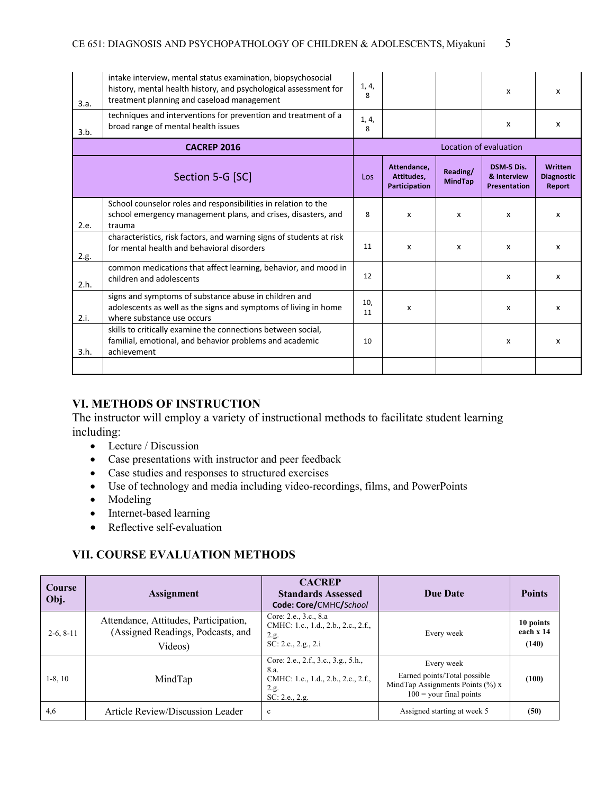| 3.a. | intake interview, mental status examination, biopsychosocial<br>history, mental health history, and psychological assessment for<br>treatment planning and caseload management | 1, 4,<br>8 |                                                   |                            | x                                                | x                                      |
|------|--------------------------------------------------------------------------------------------------------------------------------------------------------------------------------|------------|---------------------------------------------------|----------------------------|--------------------------------------------------|----------------------------------------|
| 3.b. | techniques and interventions for prevention and treatment of a<br>broad range of mental health issues                                                                          | 1, 4,<br>8 |                                                   |                            | x                                                | x                                      |
|      | <b>CACREP 2016</b>                                                                                                                                                             |            |                                                   |                            | Location of evaluation                           |                                        |
|      | Section 5-G [SC]                                                                                                                                                               | Los        | Attendance.<br>Attitudes,<br><b>Participation</b> | Reading/<br><b>MindTap</b> | DSM-5 Dis.<br>& Interview<br><b>Presentation</b> | Written<br><b>Diagnostic</b><br>Report |
| 2.e. | School counselor roles and responsibilities in relation to the<br>school emergency management plans, and crises, disasters, and<br>trauma                                      | 8          | x                                                 | x                          | x                                                | x                                      |
| 2.g. | characteristics, risk factors, and warning signs of students at risk<br>for mental health and behavioral disorders                                                             | 11         | x                                                 | X                          | x                                                | x                                      |
| 2.h. | common medications that affect learning, behavior, and mood in<br>children and adolescents                                                                                     | 12         |                                                   |                            | x                                                | $\mathsf{x}$                           |
| 2.i. | signs and symptoms of substance abuse in children and<br>adolescents as well as the signs and symptoms of living in home<br>where substance use occurs                         | 10,<br>11  | $\boldsymbol{\mathsf{x}}$                         |                            | x                                                | $\mathsf{x}$                           |
| 3.h. | skills to critically examine the connections between social,<br>familial, emotional, and behavior problems and academic<br>achievement                                         | 10         |                                                   |                            | x                                                | x                                      |
|      |                                                                                                                                                                                |            |                                                   |                            |                                                  |                                        |

### **VI. METHODS OF INSTRUCTION**

The instructor will employ a variety of instructional methods to facilitate student learning including:

- Lecture / Discussion
- Case presentations with instructor and peer feedback
- Case studies and responses to structured exercises
- Use of technology and media including video-recordings, films, and PowerPoints
- Modeling
- Internet-based learning
- Reflective self-evaluation

### **VII. COURSE EVALUATION METHODS**

| <b>Course</b><br>Obj. | <b>Assignment</b>                                                                     | <b>CACREP</b><br><b>Standards Assessed</b><br>Code: Core/CMHC/School                                         | <b>Due Date</b>                                                                                                | <b>Points</b>                   |
|-----------------------|---------------------------------------------------------------------------------------|--------------------------------------------------------------------------------------------------------------|----------------------------------------------------------------------------------------------------------------|---------------------------------|
| $2-6, 8-11$           | Attendance, Attitudes, Participation,<br>(Assigned Readings, Podcasts, and<br>Videos) | Core: 2.e., 3.c., 8.a<br>CMHC: 1.c., 1.d., 2.b., 2.c., 2.f.,<br>2.g.<br>SC: 2.e., 2.g., 2.i                  | Every week                                                                                                     | 10 points<br>each x 14<br>(140) |
| $1-8, 10$             | MindTap                                                                               | Core: 2.e., 2.f., 3.c., 3.g., 5.h.,<br>8.a.<br>CMHC: 1.c., 1.d., 2.b., 2.c., 2.f.,<br>2.g.<br>SC: 2.e., 2.g. | Every week<br>Earned points/Total possible<br>MindTap Assignments Points $(\%) x$<br>$100 =$ your final points | (100)                           |
| 4,6                   | Article Review/Discussion Leader                                                      | $\mathbf{c}$                                                                                                 | Assigned starting at week 5                                                                                    | (50)                            |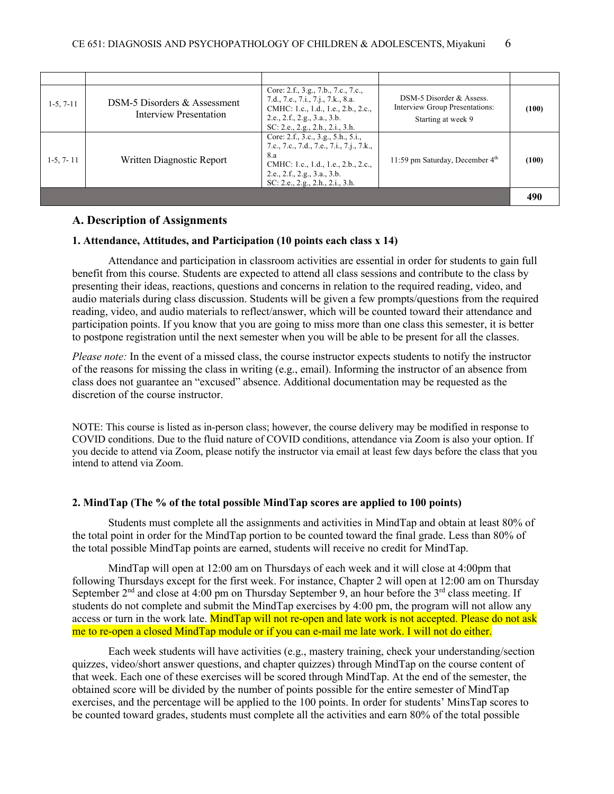| $1-5, 7-11$ | DSM-5 Disorders & Assessment<br>Interview Presentation | Core: 2.f., 3.g., 7.b., 7.c., 7.c.,<br>7.d., 7.e., 7.i., 7.j., 7.k., 8.a.<br>CMHC: 1.c., 1.d., 1.e., 2.b., 2.c.,<br>2.e., 2.f., 2.g., 3.a., 3.b.<br>SC: 2.e., 2.g., 2.h., 2.i., 3.h.               | DSM-5 Disorder & Assess.<br>Interview Group Presentations:<br>Starting at week 9 | (100) |  |
|-------------|--------------------------------------------------------|----------------------------------------------------------------------------------------------------------------------------------------------------------------------------------------------------|----------------------------------------------------------------------------------|-------|--|
| $1-5, 7-11$ | Written Diagnostic Report                              | Core: 2.f., 3.c., 3.g., 5.h., 5.i.,<br>7.c., 7.c., 7.d., 7.e., 7.i., 7.j., 7.k.,<br>8.a<br>CMHC: 1.c., 1.d., 1.e., 2.b., 2.c.,<br>2.e., 2.f., 2.g., 3.a., 3.b.<br>SC: 2.e., 2.g., 2.h., 2.i., 3.h. | 11:59 pm Saturday, December $4th$                                                | (100) |  |
|             |                                                        |                                                                                                                                                                                                    |                                                                                  |       |  |

#### **A. Description of Assignments**

#### **1. Attendance, Attitudes, and Participation (10 points each class x 14)**

Attendance and participation in classroom activities are essential in order for students to gain full benefit from this course. Students are expected to attend all class sessions and contribute to the class by presenting their ideas, reactions, questions and concerns in relation to the required reading, video, and audio materials during class discussion. Students will be given a few prompts/questions from the required reading, video, and audio materials to reflect/answer, which will be counted toward their attendance and participation points. If you know that you are going to miss more than one class this semester, it is better to postpone registration until the next semester when you will be able to be present for all the classes.

*Please note:* In the event of a missed class, the course instructor expects students to notify the instructor of the reasons for missing the class in writing (e.g., email). Informing the instructor of an absence from class does not guarantee an "excused" absence. Additional documentation may be requested as the discretion of the course instructor.

NOTE: This course is listed as in-person class; however, the course delivery may be modified in response to COVID conditions. Due to the fluid nature of COVID conditions, attendance via Zoom is also your option. If you decide to attend via Zoom, please notify the instructor via email at least few days before the class that you intend to attend via Zoom.

#### **2. MindTap (The % of the total possible MindTap scores are applied to 100 points)**

Students must complete all the assignments and activities in MindTap and obtain at least 80% of the total point in order for the MindTap portion to be counted toward the final grade. Less than 80% of the total possible MindTap points are earned, students will receive no credit for MindTap.

MindTap will open at 12:00 am on Thursdays of each week and it will close at 4:00pm that following Thursdays except for the first week. For instance, Chapter 2 will open at 12:00 am on Thursday September  $2<sup>nd</sup>$  and close at 4:00 pm on Thursday September 9, an hour before the  $3<sup>rd</sup>$  class meeting. If students do not complete and submit the MindTap exercises by 4:00 pm, the program will not allow any access or turn in the work late. MindTap will not re-open and late work is not accepted. Please do not ask me to re-open a closed MindTap module or if you can e-mail me late work. I will not do either.

Each week students will have activities (e.g., mastery training, check your understanding/section quizzes, video/short answer questions, and chapter quizzes) through MindTap on the course content of that week. Each one of these exercises will be scored through MindTap. At the end of the semester, the obtained score will be divided by the number of points possible for the entire semester of MindTap exercises, and the percentage will be applied to the 100 points. In order for students' MinsTap scores to be counted toward grades, students must complete all the activities and earn 80% of the total possible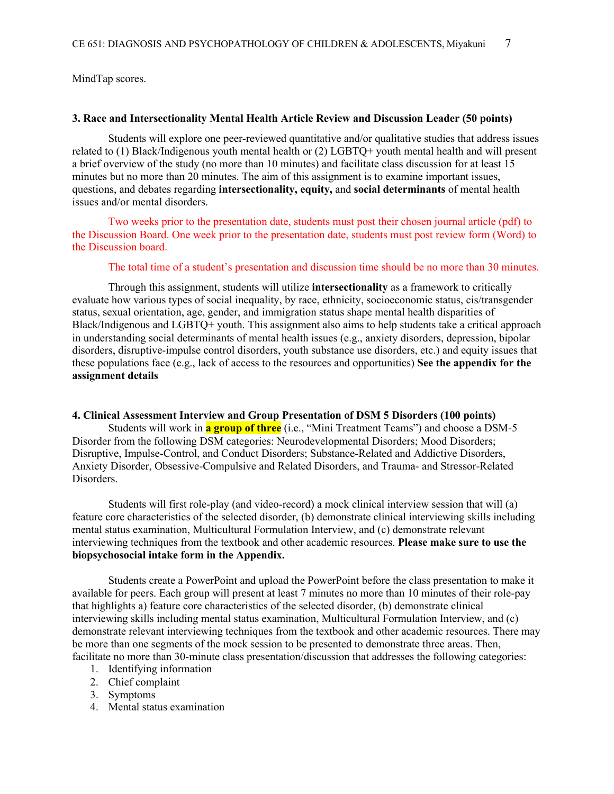MindTap scores.

#### **3. Race and Intersectionality Mental Health Article Review and Discussion Leader (50 points)**

Students will explore one peer-reviewed quantitative and/or qualitative studies that address issues related to (1) Black/Indigenous youth mental health or (2) LGBTQ+ youth mental health and will present a brief overview of the study (no more than 10 minutes) and facilitate class discussion for at least 15 minutes but no more than 20 minutes. The aim of this assignment is to examine important issues, questions, and debates regarding **intersectionality, equity,** and **social determinants** of mental health issues and/or mental disorders.

Two weeks prior to the presentation date, students must post their chosen journal article (pdf) to the Discussion Board. One week prior to the presentation date, students must post review form (Word) to the Discussion board.

The total time of a student's presentation and discussion time should be no more than 30 minutes.

Through this assignment, students will utilize **intersectionality** as a framework to critically evaluate how various types of social inequality, by race, ethnicity, socioeconomic status, cis/transgender status, sexual orientation, age, gender, and immigration status shape mental health disparities of Black/Indigenous and LGBTQ+ youth. This assignment also aims to help students take a critical approach in understanding social determinants of mental health issues (e.g., anxiety disorders, depression, bipolar disorders, disruptive-impulse control disorders, youth substance use disorders, etc.) and equity issues that these populations face (e.g., lack of access to the resources and opportunities) **See the appendix for the assignment details**

#### **4. Clinical Assessment Interview and Group Presentation of DSM 5 Disorders (100 points)**

Students will work in **a group of three** (i.e., "Mini Treatment Teams") and choose a DSM-5 Disorder from the following DSM categories: Neurodevelopmental Disorders; Mood Disorders; Disruptive, Impulse-Control, and Conduct Disorders; Substance-Related and Addictive Disorders, Anxiety Disorder, Obsessive-Compulsive and Related Disorders, and Trauma- and Stressor-Related Disorders.

Students will first role-play (and video-record) a mock clinical interview session that will (a) feature core characteristics of the selected disorder, (b) demonstrate clinical interviewing skills including mental status examination, Multicultural Formulation Interview, and (c) demonstrate relevant interviewing techniques from the textbook and other academic resources. **Please make sure to use the biopsychosocial intake form in the Appendix.**

Students create a PowerPoint and upload the PowerPoint before the class presentation to make it available for peers. Each group will present at least 7 minutes no more than 10 minutes of their role-pay that highlights a) feature core characteristics of the selected disorder, (b) demonstrate clinical interviewing skills including mental status examination, Multicultural Formulation Interview, and (c) demonstrate relevant interviewing techniques from the textbook and other academic resources. There may be more than one segments of the mock session to be presented to demonstrate three areas. Then, facilitate no more than 30-minute class presentation/discussion that addresses the following categories:

- 1. Identifying information
- 2. Chief complaint
- 3. Symptoms
- 4. Mental status examination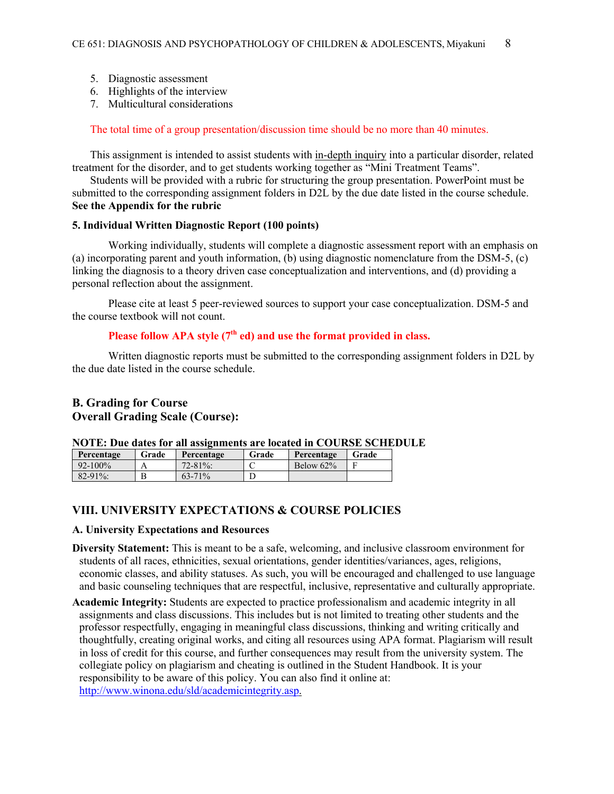- 5. Diagnostic assessment
- 6. Highlights of the interview
- 7. Multicultural considerations

The total time of a group presentation/discussion time should be no more than 40 minutes.

This assignment is intended to assist students with in-depth inquiry into a particular disorder, related treatment for the disorder, and to get students working together as "Mini Treatment Teams".

Students will be provided with a rubric for structuring the group presentation. PowerPoint must be submitted to the corresponding assignment folders in D2L by the due date listed in the course schedule. **See the Appendix for the rubric**

#### **5. Individual Written Diagnostic Report (100 points)**

Working individually, students will complete a diagnostic assessment report with an emphasis on (a) incorporating parent and youth information, (b) using diagnostic nomenclature from the DSM-5, (c) linking the diagnosis to a theory driven case conceptualization and interventions, and (d) providing a personal reflection about the assignment.

Please cite at least 5 peer-reviewed sources to support your case conceptualization. DSM-5 and the course textbook will not count.

### Please follow APA style (7<sup>th</sup> ed) and use the format provided in class.

Written diagnostic reports must be submitted to the corresponding assignment folders in D2L by the due date listed in the course schedule.

#### **B. Grading for Course Overall Grading Scale (Course):**

#### **NOTE: Due dates for all assignments are located in COURSE SCHEDULE**

| Percentage   | Grade | Percentage  | Grade | Percentage   | Grade |
|--------------|-------|-------------|-------|--------------|-------|
| $92 - 100\%$ |       | $72 - 81\%$ |       | Below $62\%$ |       |
| $82 - 91\%$  |       | $63 - 71\%$ |       |              |       |

### **VIII. UNIVERSITY EXPECTATIONS & COURSE POLICIES**

#### **A. University Expectations and Resources**

- **Diversity Statement:** This is meant to be a safe, welcoming, and inclusive classroom environment for students of all races, ethnicities, sexual orientations, gender identities/variances, ages, religions, economic classes, and ability statuses. As such, you will be encouraged and challenged to use language and basic counseling techniques that are respectful, inclusive, representative and culturally appropriate.
- **Academic Integrity:** Students are expected to practice professionalism and academic integrity in all assignments and class discussions. This includes but is not limited to treating other students and the professor respectfully, engaging in meaningful class discussions, thinking and writing critically and thoughtfully, creating original works, and citing all resources using APA format. Plagiarism will result in loss of credit for this course, and further consequences may result from the university system. The collegiate policy on plagiarism and cheating is outlined in the Student Handbook. It is your responsibility to be aware of this policy. You can also find it online at: http://www.winona.edu/sld/academicintegrity.asp.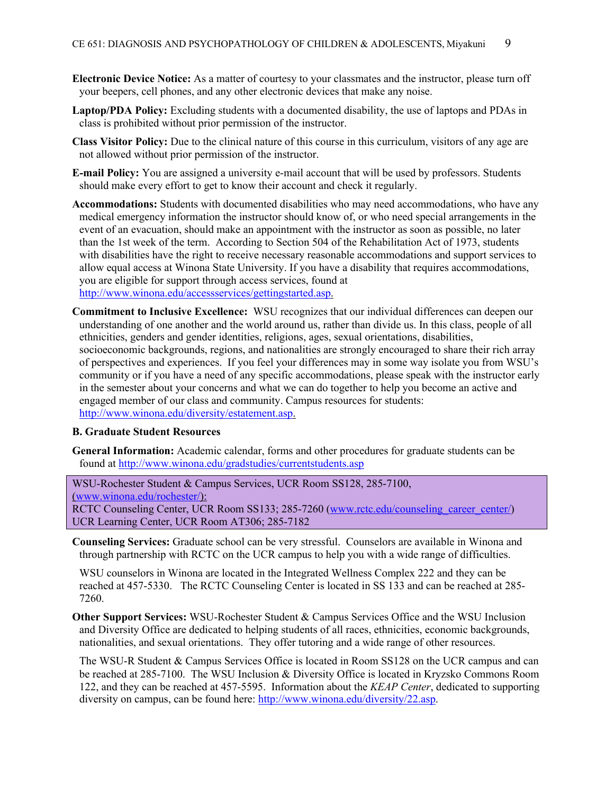- **Electronic Device Notice:** As a matter of courtesy to your classmates and the instructor, please turn off your beepers, cell phones, and any other electronic devices that make any noise.
- **Laptop/PDA Policy:** Excluding students with a documented disability, the use of laptops and PDAs in class is prohibited without prior permission of the instructor.
- **Class Visitor Policy:** Due to the clinical nature of this course in this curriculum, visitors of any age are not allowed without prior permission of the instructor.
- **E-mail Policy:** You are assigned a university e-mail account that will be used by professors. Students should make every effort to get to know their account and check it regularly.
- **Accommodations:** Students with documented disabilities who may need accommodations, who have any medical emergency information the instructor should know of, or who need special arrangements in the event of an evacuation, should make an appointment with the instructor as soon as possible, no later than the 1st week of the term. According to Section 504 of the Rehabilitation Act of 1973, students with disabilities have the right to receive necessary reasonable accommodations and support services to allow equal access at Winona State University. If you have a disability that requires accommodations, you are eligible for support through access services, found at http://www.winona.edu/accessservices/gettingstarted.asp.
- **Commitment to Inclusive Excellence:** WSU recognizes that our individual differences can deepen our understanding of one another and the world around us, rather than divide us. In this class, people of all ethnicities, genders and gender identities, religions, ages, sexual orientations, disabilities, socioeconomic backgrounds, regions, and nationalities are strongly encouraged to share their rich array of perspectives and experiences. If you feel your differences may in some way isolate you from WSU's community or if you have a need of any specific accommodations, please speak with the instructor early in the semester about your concerns and what we can do together to help you become an active and engaged member of our class and community. Campus resources for students: http://www.winona.edu/diversity/estatement.asp.

#### **B. Graduate Student Resources**

**General Information:** Academic calendar, forms and other procedures for graduate students can be found at http://www.winona.edu/gradstudies/currentstudents.asp

WSU-Rochester Student & Campus Services, UCR Room SS128, 285-7100, (www.winona.edu/rochester/): RCTC Counseling Center, UCR Room SS133; 285-7260 (www.rctc.edu/counseling\_career\_center/) UCR Learning Center, UCR Room AT306; 285-7182

**Counseling Services:** Graduate school can be very stressful. Counselors are available in Winona and through partnership with RCTC on the UCR campus to help you with a wide range of difficulties.

WSU counselors in Winona are located in the Integrated Wellness Complex 222 and they can be reached at 457-5330. The RCTC Counseling Center is located in SS 133 and can be reached at 285- 7260.

**Other Support Services:** WSU-Rochester Student & Campus Services Office and the WSU Inclusion and Diversity Office are dedicated to helping students of all races, ethnicities, economic backgrounds, nationalities, and sexual orientations. They offer tutoring and a wide range of other resources.

The WSU-R Student & Campus Services Office is located in Room SS128 on the UCR campus and can be reached at 285-7100. The WSU Inclusion & Diversity Office is located in Kryzsko Commons Room 122, and they can be reached at 457-5595. Information about the *KEAP Center*, dedicated to supporting diversity on campus, can be found here: http://www.winona.edu/diversity/22.asp.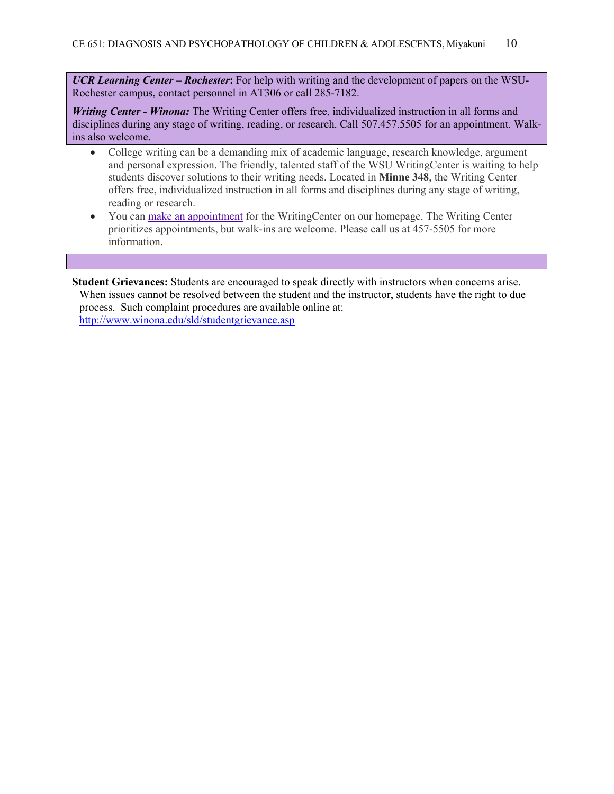*UCR Learning Center – Rochester***:** For help with writing and the development of papers on the WSU-Rochester campus, contact personnel in AT306 or call 285-7182.

*Writing Center - Winona:* The Writing Center offers free, individualized instruction in all forms and disciplines during any stage of writing, reading, or research. Call 507.457.5505 for an appointment. Walkins also welcome.

- College writing can be a demanding mix of academic language, research knowledge, argument and personal expression. The friendly, talented staff of the WSU WritingCenter is waiting to help students discover solutions to their writing needs. Located in **Minne 348**, the Writing Center offers free, individualized instruction in all forms and disciplines during any stage of writing, reading or research.
- You can make an appointment for the WritingCenter on our homepage. The Writing Center prioritizes appointments, but walk-ins are welcome. Please call us at 457-5505 for more information.

**Student Grievances:** Students are encouraged to speak directly with instructors when concerns arise. When issues cannot be resolved between the student and the instructor, students have the right to due process. Such complaint procedures are available online at: http://www.winona.edu/sld/studentgrievance.asp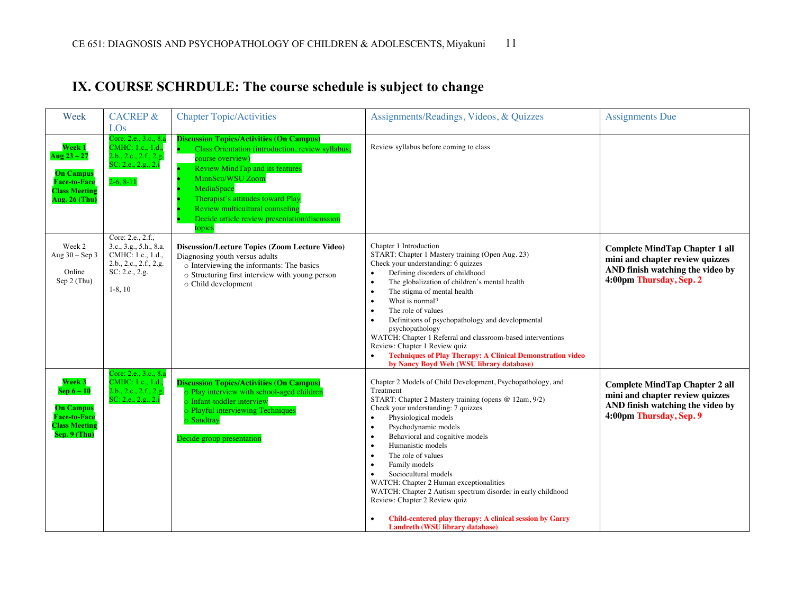| Week                                                                                                        | <b>CACREP &amp;</b><br>LOs                                                                                                | <b>Chapter Topic/Activities</b>                                                                                                                                                                                                                                                                                                         | Assignments/Readings, Videos, & Quizzes                                                                                                                                                                                                                                                                                                                                                                                                                                                                                                                                                                                                     | <b>Assignments Due</b>                                                                                                                  |
|-------------------------------------------------------------------------------------------------------------|---------------------------------------------------------------------------------------------------------------------------|-----------------------------------------------------------------------------------------------------------------------------------------------------------------------------------------------------------------------------------------------------------------------------------------------------------------------------------------|---------------------------------------------------------------------------------------------------------------------------------------------------------------------------------------------------------------------------------------------------------------------------------------------------------------------------------------------------------------------------------------------------------------------------------------------------------------------------------------------------------------------------------------------------------------------------------------------------------------------------------------------|-----------------------------------------------------------------------------------------------------------------------------------------|
| Week 1<br>Aug $23 - 27$<br><b>On Campus</b><br><b>Face-to-Face</b><br><b>Class Meeting</b><br>Aug. 26 (Thu) | Core: 2.e., 3.c., 8.a<br>CMHC: 1.c., 1.d.,<br>2.b., 2.c., 2.f., 2.g.<br>SC: 2.e., 2.g., 2.i<br>$2-6, 8-11$                | <b>Discussion Topics/Activities (On Campus)</b><br>Class Orientation (introduction, review syllabus,<br>course overview)<br><b>Review MindTap and its features</b><br>MinnScu/WSU Zoom<br>MediaSpace<br>Therapist's attitudes toward Play<br>Review multicultural counseling<br>Decide article review presentation/discussion<br>topics | Review syllabus before coming to class                                                                                                                                                                                                                                                                                                                                                                                                                                                                                                                                                                                                      |                                                                                                                                         |
| Week 2<br>Aug $30 -$ Sep $3$<br>Online<br>Sep 2 (Thu)                                                       | Core: 2.e., 2.f.,<br>3.c., 3.g., 5.h., 8.a.<br>CMHC: 1.c., 1.d.,<br>2.b., 2.c., 2.f., 2.g.<br>SC: 2.e., 2.g.<br>$1-8, 10$ | Discussion/Lecture Topics (Zoom Lecture Video)<br>Diagnosing youth versus adults<br>o Interviewing the informants: The basics<br>o Structuring first interview with young person<br>o Child development                                                                                                                                 | Chapter 1 Introduction<br>START: Chapter 1 Mastery training (Open Aug. 23)<br>Check your understanding: 6 quizzes<br>Defining disorders of childhood<br>$\bullet$<br>The globalization of children's mental health<br>$\bullet$<br>The stigma of mental health<br>$\bullet$<br>What is normal?<br>$\bullet$<br>The role of values<br>٠<br>Definitions of psychopathology and developmental<br>$\bullet$<br>psychopathology<br>WATCH: Chapter 1 Referral and classroom-based interventions<br>Review: Chapter 1 Review quiz<br><b>Techniques of Play Therapy: A Clinical Demonstration video</b><br>by Nancy Boyd Web (WSU library database) | <b>Complete MindTap Chapter 1 all</b><br>mini and chapter review quizzes<br>AND finish watching the video by<br>4:00pm Thursday, Sep. 2 |
| Week 3<br>$Sep 6-10$<br><b>On Campus</b><br><b>Face-to-Face</b><br><b>Class Meeting</b><br>Sep. 9 (Thu)     | Core: 2.e., 3.c., 8.a<br>CMHC: 1.c., 1.d.<br>2.b., 2.c., 2.f., 2.g.<br>SC: 2.e., 2.g., 2.i                                | <b>Discussion Topics/Activities (On Campus)</b><br>o Play interview with school-aged children<br>o Infant-toddler interview<br>o Playful interviewing Techniques<br>o Sandtray<br>Decide group presentation                                                                                                                             | Chapter 2 Models of Child Development, Psychopathology, and<br>Treatment<br>START: Chapter 2 Mastery training (opens @ 12am, 9/2)<br>Check your understanding: 7 quizzes<br>Physiological models<br>$\bullet$<br>Psychodynamic models<br>$\bullet$<br>Behavioral and cognitive models<br>$\bullet$<br>Humanistic models<br>$\bullet$<br>The role of values<br>$\bullet$<br>Family models<br>$\bullet$<br>Sociocultural models<br>WATCH: Chapter 2 Human exceptionalities<br>WATCH: Chapter 2 Autism spectrum disorder in early childhood<br>Review: Chapter 2 Review quiz                                                                   | <b>Complete MindTap Chapter 2 all</b><br>mini and chapter review quizzes<br>AND finish watching the video by<br>4:00pm Thursday, Sep. 9 |

• **Child-centered play therapy: A clinical session by Garry** 

**Landreth (WSU library database)**

## **IX. COURSE SCHRDULE: The course schedule is subject to change**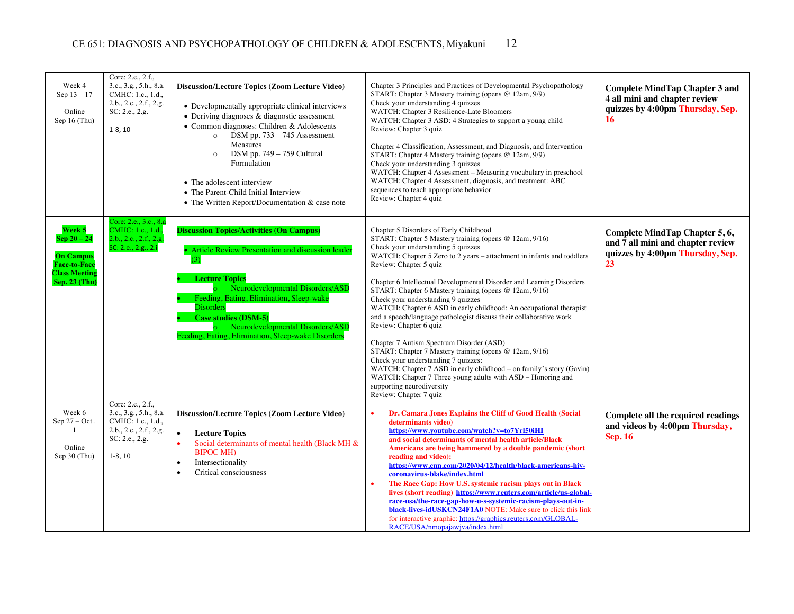| Week 4<br>Sep 13 - 17<br>Online<br>Sep $16$ (Thu)                                                           | Core: 2.e., 2.f.,<br>3.c., 3.g., 5.h., 8.a.<br>CMHC: 1.c., 1.d.,<br>2.b., 2.c., 2.f., 2.g.<br>SC: 2.e., 2.g.<br>$1-8, 10$ | <b>Discussion/Lecture Topics (Zoom Lecture Video)</b><br>• Developmentally appropriate clinical interviews<br>• Deriving diagnoses & diagnostic assessment<br>• Common diagnoses: Children & Adolescents<br>DSM pp. 733 - 745 Assessment<br>$\circ$<br>Measures<br>DSM pp. 749 - 759 Cultural<br>$\circ$<br>Formulation<br>• The adolescent interview<br>• The Parent-Child Initial Interview<br>• The Written Report/Documentation & case note | Chapter 3 Principles and Practices of Developmental Psychopathology<br>START: Chapter 3 Mastery training (opens @ 12am, 9/9)<br>Check your understanding 4 quizzes<br>WATCH: Chapter 3 Resilience-Late Bloomers<br>WATCH: Chapter 3 ASD: 4 Strategies to support a young child<br>Review: Chapter 3 quiz<br>Chapter 4 Classification, Assessment, and Diagnosis, and Intervention<br>START: Chapter 4 Mastery training (opens @ 12am, 9/9)<br>Check your understanding 3 quizzes<br>WATCH: Chapter 4 Assessment - Measuring vocabulary in preschool<br>WATCH: Chapter 4 Assessment, diagnosis, and treatment: ABC<br>sequences to teach appropriate behavior<br>Review: Chapter 4 quiz                                                                                                                                                                                                                                            | <b>Complete MindTap Chapter 3 and</b><br>4 all mini and chapter review<br>quizzes by 4:00pm Thursday, Sep.<br>16 |
|-------------------------------------------------------------------------------------------------------------|---------------------------------------------------------------------------------------------------------------------------|-------------------------------------------------------------------------------------------------------------------------------------------------------------------------------------------------------------------------------------------------------------------------------------------------------------------------------------------------------------------------------------------------------------------------------------------------|-----------------------------------------------------------------------------------------------------------------------------------------------------------------------------------------------------------------------------------------------------------------------------------------------------------------------------------------------------------------------------------------------------------------------------------------------------------------------------------------------------------------------------------------------------------------------------------------------------------------------------------------------------------------------------------------------------------------------------------------------------------------------------------------------------------------------------------------------------------------------------------------------------------------------------------|------------------------------------------------------------------------------------------------------------------|
| Week 5<br>$Sep 20 - 24$<br><b>On Campus</b><br><b>Face-to-Face</b><br><b>Class Meeting</b><br>Sep. 23 (Thu) | Core: 2.e., 3.c., 8.a<br>CMHC: 1.c., 1.d.<br>2.b., 2.c., 2.f., 2.g.<br>SC: 2.e., 2.g., 2.i                                | <b>Discussion Topics/Activities (On Campus)</b><br>• Article Review Presentation and discussion leader<br>(3)<br><b>Lecture Topics</b><br>Neurodevelopmental Disorders/ASD<br>Feeding, Eating, Elimination, Sleep-wake<br><b>Disorders</b><br><b>Case studies (DSM-5)</b><br>Neurodevelopmental Disorders/ASD<br>Feeding, Eating, Elimination, Sleep-wake Disorders                                                                             | Chapter 5 Disorders of Early Childhood<br>START: Chapter 5 Mastery training (opens @ 12am, 9/16)<br>Check your understanding 5 quizzes<br>WATCH: Chapter 5 Zero to 2 years – attachment in infants and toddlers<br>Review: Chapter 5 quiz<br>Chapter 6 Intellectual Developmental Disorder and Learning Disorders<br>START: Chapter 6 Mastery training (opens @ 12am, 9/16)<br>Check your understanding 9 quizzes<br>WATCH: Chapter 6 ASD in early childhood: An occupational therapist<br>and a speech/language pathologist discuss their collaborative work<br>Review: Chapter 6 quiz<br>Chapter 7 Autism Spectrum Disorder (ASD)<br>START: Chapter 7 Mastery training (opens @ 12am, 9/16)<br>Check your understanding 7 quizzes:<br>WATCH: Chapter 7 ASD in early childhood – on family's story (Gavin)<br>WATCH: Chapter 7 Three young adults with ASD - Honoring and<br>supporting neurodiversity<br>Review: Chapter 7 quiz | Complete MindTap Chapter 5, 6,<br>and 7 all mini and chapter review<br>quizzes by 4:00pm Thursday, Sep.<br>23    |
| Week 6<br>Sep $27 - Oct.$<br>-1<br>Online<br>Sep $30$ (Thu)                                                 | Core: 2.e., 2.f.,<br>3.c., 3.g., 5.h., 8.a.<br>CMHC: 1.c., 1.d.,<br>2.b., 2.c., 2.f., 2.g.<br>SC: 2.e., 2.g.<br>$1-8, 10$ | Discussion/Lecture Topics (Zoom Lecture Video)<br>$\bullet$<br><b>Lecture Topics</b><br>Social determinants of mental health (Black MH &<br>$\bullet$<br><b>BIPOC MH)</b><br>Intersectionality<br>$\bullet$<br>Critical consciousness<br>$\bullet$                                                                                                                                                                                              | Dr. Camara Jones Explains the Cliff of Good Health (Social<br>determinants video)<br>https://www.youtube.com/watch?v=to7Yrl50iHI<br>and social determinants of mental health article/Black<br>Americans are being hammered by a double pandemic (short<br>reading and video):<br>https://www.cnn.com/2020/04/12/health/black-americans-hiv-<br>coronavirus-blake/index.html<br>The Race Gap: How U.S. systemic racism plays out in Black<br>lives (short reading) https://www.reuters.com/article/us-global-<br>race-usa/the-race-gap-how-u-s-systemic-racism-plays-out-in-<br>black-lives-idUSKCN24F1A0 NOTE: Make sure to click this link<br>for interactive graphic: https://graphics.reuters.com/GLOBAL-<br>RACE/USA/nmopajawjva/index.html                                                                                                                                                                                   | Complete all the required readings<br>and videos by 4:00pm Thursday,<br><b>Sep. 16</b>                           |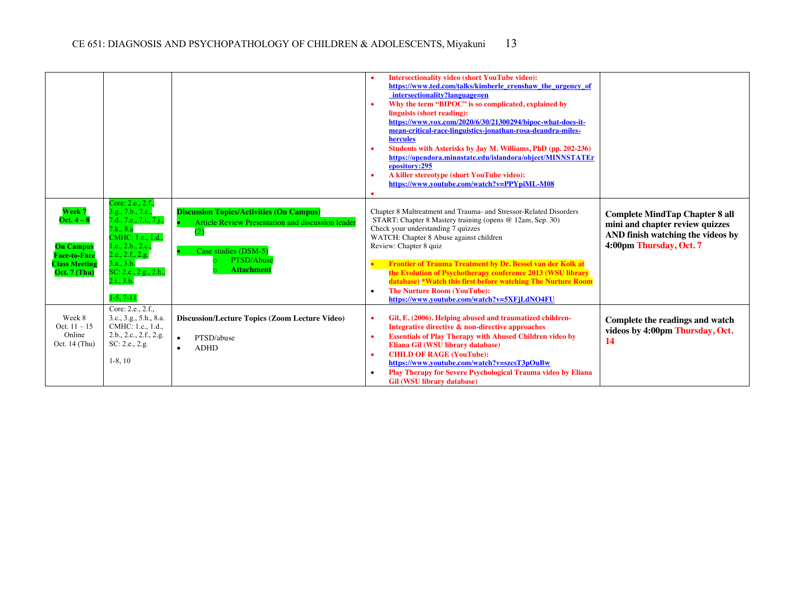|                                                                                                                       |                                                                                                                                                                                                                  |                                                                                                                                                                        | <b>Intersectionality video (short YouTube video):</b><br>https://www.ted.com/talks/kimberle crenshaw the urgency of<br>intersectionality?language=en<br>Why the term "BIPOC" is so complicated, explained by<br>linguists (short reading):<br>https://www.vox.com/2020/6/30/21300294/bipoc-what-does-it-<br>mean-critical-race-linguistics-jonathan-rosa-deandra-miles-<br>hercules<br>Students with Asterisks by Jay M. Williams, PhD (pp. 202-236)<br>https://opendora.minnstate.edu/islandora/object/MINNSTATEr<br>epository:295<br>A killer stereotype (short YouTube video):<br>https://www.youtube.com/watch?v=PPYpiML-M08 |                                                                                                                                          |
|-----------------------------------------------------------------------------------------------------------------------|------------------------------------------------------------------------------------------------------------------------------------------------------------------------------------------------------------------|------------------------------------------------------------------------------------------------------------------------------------------------------------------------|----------------------------------------------------------------------------------------------------------------------------------------------------------------------------------------------------------------------------------------------------------------------------------------------------------------------------------------------------------------------------------------------------------------------------------------------------------------------------------------------------------------------------------------------------------------------------------------------------------------------------------|------------------------------------------------------------------------------------------------------------------------------------------|
| Week 7<br>Oct. $4-\epsilon$<br><b>On Campus</b><br><b>Face-to-Face</b><br><b>Class Meeting</b><br><b>Oct. 7 (Thu)</b> | Core: 2.e., 2.f.,<br>3.g., 7.b., 7.c.,<br>7.d., 7.e., 7.i., 7.j.,<br>7.k., 8.a<br>CMHC: 1.c., 1.d.,<br>1.e., 2.b., 2.c.,<br>2.e., 2.f., 2.g.<br>3.a., 3.b.<br>SC: 2.e., 2.g., 2.h.,<br>2.i., 3.h.<br>$1-5, 7-11$ | <b>Discussion Topics/Activities (On Campus)</b><br>Article Review Presentation and discussion leader<br>(2)<br>Case studies (DSM-5)<br>PTSD/Abuse<br><b>Attachment</b> | Chapter 8 Maltreatment and Trauma- and Stressor-Related Disorders<br>START: Chapter 8 Mastery training (opens @ 12am, Sep. 30)<br>Check your understanding 7 quizzes<br>WATCH: Chapter 8 Abuse against children<br>Review: Chapter 8 quiz<br>Frontier of Trauma Treatment by Dr. Bessel van der Kolk at<br>the Evolution of Psychotherapy conference 2013 (WSU library<br>database) *Watch this first before watching The Nurture Room<br><b>The Nurture Room (YouTube):</b><br>https://www.youtube.com/watch?v=5XFjLdNO4FU                                                                                                      | <b>Complete MindTap Chapter 8 all</b><br>mini and chapter review quizzes<br>AND finish watching the videos by<br>4:00pm Thursday, Oct. 7 |
| Week 8<br>Oct. $11 - 15$<br>Online<br>Oct. 14 (Thu)                                                                   | Core: 2.e., 2.f.,<br>3.c., 3.g., 5.h., 8.a.<br>CMHC: 1.c., 1.d.,<br>2.b., 2.c., 2.f., 2.g.<br>SC: 2.e., 2.g.<br>$1-8, 10$                                                                                        | <b>Discussion/Lecture Topics (Zoom Lecture Video)</b><br>PTSD/abuse<br>$\bullet$<br><b>ADHD</b>                                                                        | Gil, E. (2006). Helping abused and traumatized children-<br>Integrative directive & non-directive approaches<br><b>Essentials of Play Therapy with Abused Children video by</b><br>Eliana Gil (WSU library database)<br><b>CHILD OF RAGE (YouTube):</b><br>https://www.youtube.com/watch?v=szcsT3pOuBw<br>Play Therapy for Severe Psychological Trauma video by Eliana<br><b>Gil (WSU library database)</b>                                                                                                                                                                                                                      | Complete the readings and watch<br>videos by 4:00pm Thursday, Oct.<br>-14                                                                |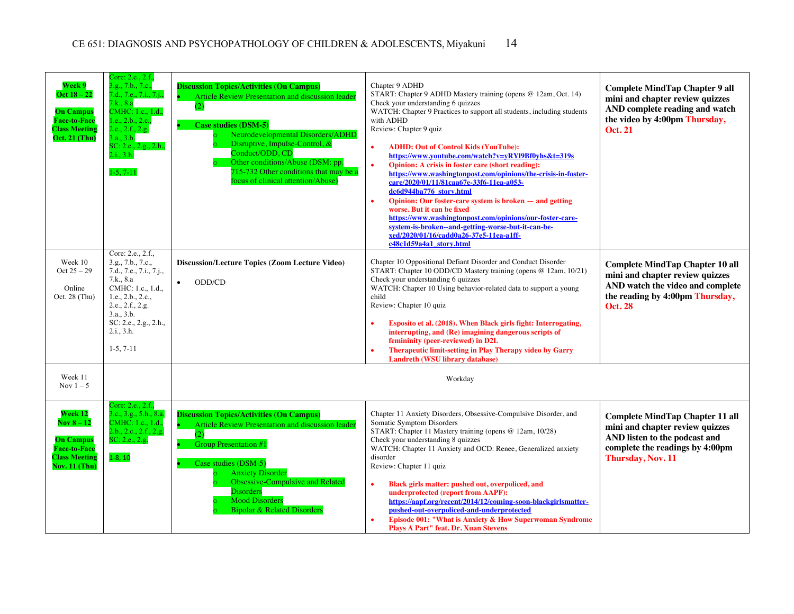| Week 9<br>Oct $18 - 22$<br><b>On Campus</b><br><b>Face-to-Face</b><br><b>Class Meeting</b><br><b>Oct. 21 (Thu)</b> | Core: 2.e., 2.f.,<br>3.g., 7.b., 7.c.,<br>7.d., 7.e., 7.i., 7.j.,<br>7.k., 8.a<br>CMHC: 1.c., 1.d.,<br>1.e., 2.b., 2.c.,<br>2.e., 2.f., 2.g.<br>3.a., 3.b.<br>SC: 2.e., 2.g., 2.h.,<br>2.i., 3.h.<br>$1-5, 7-11$ | <b>Discussion Topics/Activities (On Campus)</b><br>Article Review Presentation and discussion leader<br>(2)<br><b>Case studies (DSM-5)</b><br>Neurodevelopmental Disorders/ADHD<br>Disruptive, Impulse-Control, &<br>Conduct/ODD, CD<br>Other conditions/Abuse (DSM: pp.<br>715-732 Other conditions that may be a<br>focus of clinical attention/Abuse) | Chapter 9 ADHD<br>START: Chapter 9 ADHD Mastery training (opens @ 12am, Oct. 14)<br>Check your understanding 6 quizzes<br>WATCH: Chapter 9 Practices to support all students, including students<br>with ADHD<br>Review: Chapter 9 quiz<br><b>ADHD: Out of Control Kids (YouTube):</b><br>https://www.youtube.com/watch?v=yRYl9Bf0yhs&t=319s<br>Opinion: A crisis in foster care (short reading):<br>$\bullet$<br>https://www.washingtonpost.com/opinions/the-crisis-in-foster-<br>care/2020/01/11/81caa67e-33f6-11ea-a053-<br>dc6d944ba776 story.html<br>Opinion: Our foster-care system is broken – and getting<br>$\bullet$<br>worse. But it can be fixed<br>https://www.washingtonpost.com/opinions/our-foster-care-<br>system-is-broken--and-getting-worse-but-it-can-be-<br>xed/2020/01/16/cadd0a26-37e5-11ea-a1ff-<br>c48c1d59a4a1 story.html | <b>Complete MindTap Chapter 9 all</b><br>mini and chapter review quizzes<br>AND complete reading and watch<br>the video by 4:00pm Thursday,<br><b>Oct. 21</b>      |
|--------------------------------------------------------------------------------------------------------------------|------------------------------------------------------------------------------------------------------------------------------------------------------------------------------------------------------------------|----------------------------------------------------------------------------------------------------------------------------------------------------------------------------------------------------------------------------------------------------------------------------------------------------------------------------------------------------------|------------------------------------------------------------------------------------------------------------------------------------------------------------------------------------------------------------------------------------------------------------------------------------------------------------------------------------------------------------------------------------------------------------------------------------------------------------------------------------------------------------------------------------------------------------------------------------------------------------------------------------------------------------------------------------------------------------------------------------------------------------------------------------------------------------------------------------------------------|--------------------------------------------------------------------------------------------------------------------------------------------------------------------|
| Week 10<br>$Oct 25 - 29$<br>Online<br>Oct. 28 (Thu)                                                                | Core: 2.e., 2.f.,<br>3.g., 7.b., 7.c.,<br>7.d., 7.e., 7.i., 7.j.,<br>7.k., 8.a<br>CMHC: 1.c., 1.d.,<br>1.e., 2.b., 2.c.,<br>2.e., 2.f., 2.g.<br>3.a., 3.b.<br>SC: 2.e., 2.g., 2.h.,<br>2.i., 3.h.<br>$1-5, 7-11$ | <b>Discussion/Lecture Topics (Zoom Lecture Video)</b><br>ODD/CD                                                                                                                                                                                                                                                                                          | Chapter 10 Oppositional Defiant Disorder and Conduct Disorder<br>START: Chapter 10 ODD/CD Mastery training (opens @ 12am, 10/21)<br>Check your understanding 6 quizzes<br>WATCH: Chapter 10 Using behavior-related data to support a young<br>child<br>Review: Chapter 10 quiz<br>Esposito et al. (2018). When Black girls fight: Interrogating,<br>interrupting, and (Re) imagining dangerous scripts of<br>femininity (peer-reviewed) in D2L<br>Therapeutic limit-setting in Play Therapy video by Garry<br>Landreth (WSU library database)                                                                                                                                                                                                                                                                                                        | <b>Complete MindTap Chapter 10 all</b><br>mini and chapter review quizzes<br>AND watch the video and complete<br>the reading by 4:00pm Thursday,<br><b>Oct. 28</b> |
| Week 11<br>Nov $1-5$                                                                                               |                                                                                                                                                                                                                  |                                                                                                                                                                                                                                                                                                                                                          | Workday                                                                                                                                                                                                                                                                                                                                                                                                                                                                                                                                                                                                                                                                                                                                                                                                                                              |                                                                                                                                                                    |
| Week 12<br><b>Nov 8 – 12</b><br><b>On Campus</b><br><b>Face-to-Face</b><br><b>Class Meeting</b><br>Nov. 11 (Thu)   | Core: 2.e., 2.f.,<br>3.c., 3.g., 5.h., 8.a.<br>CMHC: 1.c., 1.d.,<br>2.b., 2.c., 2.f., 2.g.<br>SC: 2.e., 2.g.<br>$1-8, 10$                                                                                        | <b>Discussion Topics/Activities (On Campus)</b><br>Article Review Presentation and discussion leader<br>(2)<br><b>Group Presentation #1</b><br>Case studies (DSM-5)<br><b>Anxiety Disorder</b><br><b>Obsessive-Compulsive and Related</b><br><b>Disorders</b><br><b>Mood Disorders</b><br><b>Bipolar &amp; Related Disorders</b>                         | Chapter 11 Anxiety Disorders, Obsessive-Compulsive Disorder, and<br>Somatic Symptom Disorders<br>START: Chapter 11 Mastery training (opens @ 12am, 10/28)<br>Check your understanding 8 quizzes<br>WATCH: Chapter 11 Anxiety and OCD: Renee, Generalized anxiety<br>disorder<br>Review: Chapter 11 quiz<br>Black girls matter: pushed out, overpoliced, and<br>underprotected (report from AAPF):<br>https://aapf.org/recent/2014/12/coming-soon-blackgirlsmatter-<br>pushed-out-overpoliced-and-underprotected<br>Episode 001: "What is Anxiety & How Superwoman Syndrome<br><b>Plays A Part" feat. Dr. Xuan Stevens</b>                                                                                                                                                                                                                            | <b>Complete MindTap Chapter 11 all</b><br>mini and chapter review quizzes<br>AND listen to the podcast and<br>complete the readings by 4:00pm<br>Thursday, Nov. 11 |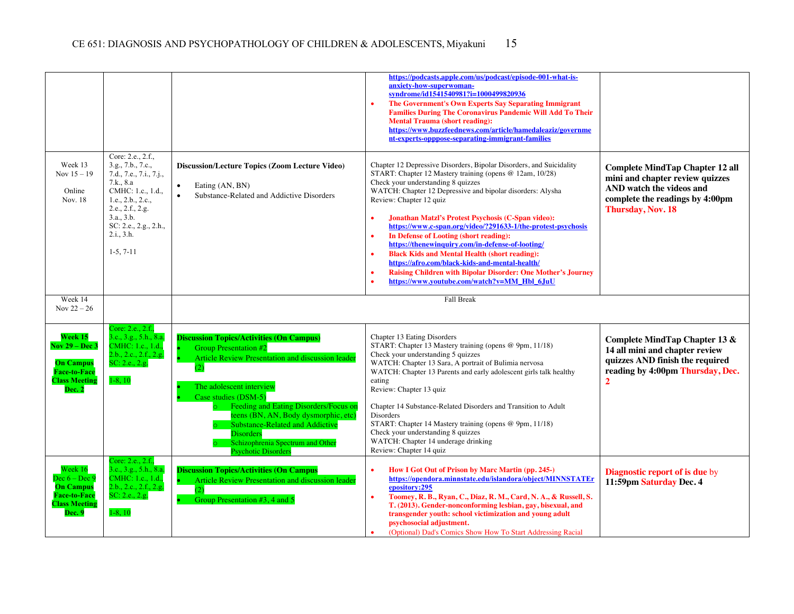|                                                                                                                      |                                                                                                                                                                                                                    |                                                                                                                                                                                                                                                                                                                                                                                                           | https://podcasts.apple.com/us/podcast/episode-001-what-is-<br>anxiety-how-superwoman-<br>syndrome/id1541540981?i=1000499820936<br>The Government's Own Experts Say Separating Immigrant<br><b>Families During The Coronavirus Pandemic Will Add To Their</b><br><b>Mental Trauma (short reading):</b><br>https://www.buzzfeednews.com/article/hamedaleaziz/governme<br>nt-experts-opppose-separating-immigrant-families                                                                                                                                                                                                                                                                                                 |                                                                                                                                                                      |
|----------------------------------------------------------------------------------------------------------------------|--------------------------------------------------------------------------------------------------------------------------------------------------------------------------------------------------------------------|-----------------------------------------------------------------------------------------------------------------------------------------------------------------------------------------------------------------------------------------------------------------------------------------------------------------------------------------------------------------------------------------------------------|-------------------------------------------------------------------------------------------------------------------------------------------------------------------------------------------------------------------------------------------------------------------------------------------------------------------------------------------------------------------------------------------------------------------------------------------------------------------------------------------------------------------------------------------------------------------------------------------------------------------------------------------------------------------------------------------------------------------------|----------------------------------------------------------------------------------------------------------------------------------------------------------------------|
| Week 13<br>Nov $15 - 19$<br>Online<br>Nov. 18                                                                        | Core: 2.e., 2.f.,<br>3.g., 7.b., 7.c.,<br>7.d., 7.e., 7.i., 7.j.,<br>7.k., 8.a<br>CMHC: 1.c., 1.d.,<br>1.e., $2.b., 2.c.,$<br>2.e., 2.f., 2.g.<br>3.a., 3.b.<br>SC: 2.e., 2.g., 2.h.,<br>2.i., 3.h.<br>$1-5, 7-11$ | <b>Discussion/Lecture Topics (Zoom Lecture Video)</b><br>Eating (AN, BN)<br>$\bullet$<br>Substance-Related and Addictive Disorders<br>$\bullet$                                                                                                                                                                                                                                                           | Chapter 12 Depressive Disorders, Bipolar Disorders, and Suicidality<br>START: Chapter 12 Mastery training (opens @ 12am, 10/28)<br>Check your understanding 8 quizzes<br>WATCH: Chapter 12 Depressive and bipolar disorders: Alysha<br>Review: Chapter 12 quiz<br>Jonathan Matzl's Protest Psychosis (C-Span video):<br>https://www.c-span.org/video/?291633-1/the-protest-psychosis<br>In Defense of Looting (short reading):<br>https://thenewinguiry.com/in-defense-of-looting/<br><b>Black Kids and Mental Health (short reading):</b><br>https://afro.com/black-kids-and-mental-health/<br><b>Raising Children with Bipolar Disorder: One Mother's Journey</b><br>٠<br>https://www.youtube.com/watch?v=MM Hbl 6JuU | <b>Complete MindTap Chapter 12 all</b><br>mini and chapter review quizzes<br>AND watch the videos and<br>complete the readings by 4:00pm<br><b>Thursday, Nov. 18</b> |
| Week 14<br>Nov $22 - 26$                                                                                             |                                                                                                                                                                                                                    |                                                                                                                                                                                                                                                                                                                                                                                                           | Fall Break                                                                                                                                                                                                                                                                                                                                                                                                                                                                                                                                                                                                                                                                                                              |                                                                                                                                                                      |
| Week 15<br><b>Nov 29 – Dec 3</b><br><b>On Campus</b><br><b>Face-to-Face</b><br><b>Class Meeting</b><br><b>Dec. 2</b> | Core: 2.e., 2.f.,<br>3.c., 3.g., 5.h., 8.a.<br>CMHC: 1.c., 1.d.,<br>2.b., 2.c., 2.f., 2.g.<br>SC: 2.e., 2.g.<br>$1-8, 10$                                                                                          | <b>Discussion Topics/Activities (On Campus)</b><br><b>Group Presentation #2</b><br>Article Review Presentation and discussion leader<br>(2)<br>The adolescent interview<br>Case studies (DSM-5)<br>Feeding and Eating Disorders/Focus on<br>teens (BN, AN, Body dysmorphic, etc)<br>Substance-Related and Addictive<br><b>Disorders</b><br>Schizophrenia Spectrum and Other<br><b>Psychotic Disorders</b> | Chapter 13 Eating Disorders<br>START: Chapter 13 Mastery training (opens @ 9pm, 11/18)<br>Check your understanding 5 quizzes<br>WATCH: Chapter 13 Sara, A portrait of Bulimia nervosa<br>WATCH: Chapter 13 Parents and early adolescent girls talk healthy<br>eating<br>Review: Chapter 13 quiz<br>Chapter 14 Substance-Related Disorders and Transition to Adult<br>Disorders<br>START: Chapter 14 Mastery training (opens @ 9pm, 11/18)<br>Check your understanding 8 quizzes<br>WATCH: Chapter 14 underage drinking<br>Review: Chapter 14 quiz                                                                                                                                                                       | Complete MindTap Chapter 13 &<br>14 all mini and chapter review<br>quizzes AND finish the required<br>reading by 4:00pm Thursday, Dec.<br>$\overline{2}$             |
| Week 16<br>Dec $6 - Dec 9$<br><b>On Campus</b><br><b>Face-to-Face</b><br><b>Class Meeting</b><br>Dec. 9              | Core: 2.e., 2.f.,<br>3.c., 3.g., 5.h., 8.a.<br>CMHC: 1.c., 1.d.,<br>2.b., 2.c., 2.f., 2.g.<br>SC: 2.e., 2.g.<br>$1-8, 10$                                                                                          | <b>Discussion Topics/Activities (On Campus</b><br>Article Review Presentation and discussion leader<br>(2)<br>Group Presentation #3, 4 and 5                                                                                                                                                                                                                                                              | How I Got Out of Prison by Marc Martin (pp. 245-)<br>https://opendora.minnstate.edu/islandora/object/MINNSTATEr<br>epository:295<br>Toomey, R. B., Ryan, C., Diaz, R. M., Card, N. A., & Russell, S.<br>$\bullet$<br>T. (2013). Gender-nonconforming lesbian, gay, bisexual, and<br>transgender youth: school victimization and young adult<br>psychosocial adjustment.<br>(Optional) Dad's Comics Show How To Start Addressing Racial                                                                                                                                                                                                                                                                                  | <b>Diagnostic report of is due by</b><br>11:59pm Saturday Dec. 4                                                                                                     |